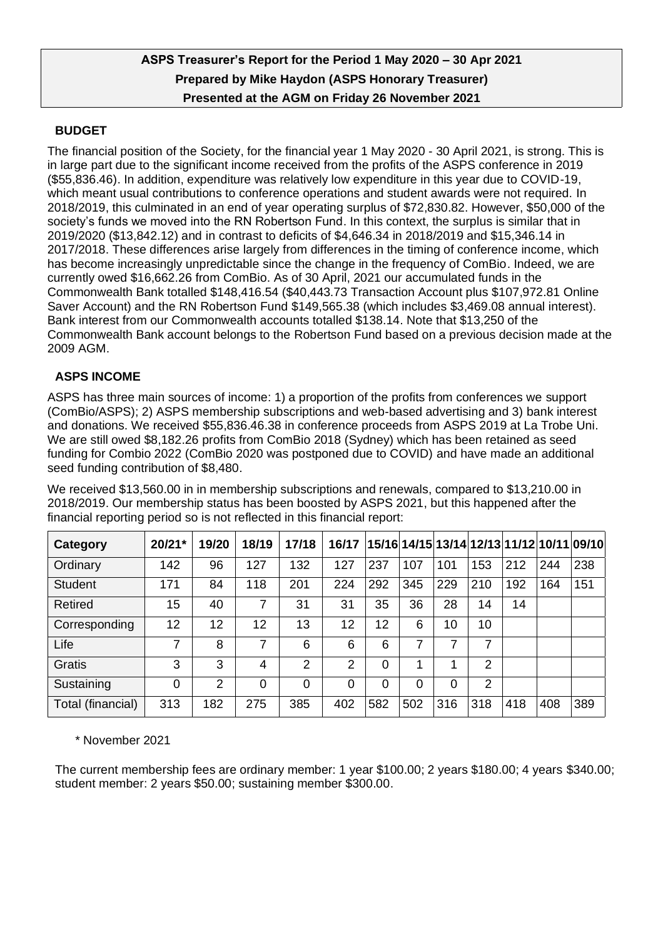# **ASPS Treasurer's Report for the Period 1 May 2020 – 30 Apr 2021 Prepared by Mike Haydon (ASPS Honorary Treasurer) Presented at the AGM on Friday 26 November 2021**

## **BUDGET**

The financial position of the Society, for the financial year 1 May 2020 - 30 April 2021, is strong. This is in large part due to the significant income received from the profits of the ASPS conference in 2019 (\$55,836.46). In addition, expenditure was relatively low expenditure in this year due to COVID-19, which meant usual contributions to conference operations and student awards were not required. In 2018/2019, this culminated in an end of year operating surplus of \$72,830.82. However, \$50,000 of the society's funds we moved into the RN Robertson Fund. In this context, the surplus is similar that in 2019/2020 (\$13,842.12) and in contrast to deficits of \$4,646.34 in 2018/2019 and \$15,346.14 in 2017/2018. These differences arise largely from differences in the timing of conference income, which has become increasingly unpredictable since the change in the frequency of ComBio. Indeed, we are currently owed \$16,662.26 from ComBio. As of 30 April, 2021 our accumulated funds in the Commonwealth Bank totalled \$148,416.54 (\$40,443.73 Transaction Account plus \$107,972.81 Online Saver Account) and the RN Robertson Fund \$149,565.38 (which includes \$3,469.08 annual interest). Bank interest from our Commonwealth accounts totalled \$138.14. Note that \$13,250 of the Commonwealth Bank account belongs to the Robertson Fund based on a previous decision made at the 2009 AGM.

## **ASPS INCOME**

ASPS has three main sources of income: 1) a proportion of the profits from conferences we support (ComBio/ASPS); 2) ASPS membership subscriptions and web-based advertising and 3) bank interest and donations. We received \$55,836.46.38 in conference proceeds from ASPS 2019 at La Trobe Uni. We are still owed \$8,182.26 profits from ComBio 2018 (Sydney) which has been retained as seed funding for Combio 2022 (ComBio 2020 was postponed due to COVID) and have made an additional seed funding contribution of \$8,480.

We received \$13,560.00 in in membership subscriptions and renewals, compared to \$13,210.00 in 2018/2019. Our membership status has been boosted by ASPS 2021, but this happened after the financial reporting period so is not reflected in this financial report:

| Category          | 20/21* | 19/20          | 18/19 | 17/18          | 16/17          |     |     |     |                 |     |     | 15/16 14/15 13/14 12/13 11/12 10/11 09/10 |
|-------------------|--------|----------------|-------|----------------|----------------|-----|-----|-----|-----------------|-----|-----|-------------------------------------------|
| Ordinary          | 142    | 96             | 127   | 132            | 127            | 237 | 107 | 101 | 153             | 212 | 244 | 238                                       |
| <b>Student</b>    | 171    | 84             | 118   | 201            | 224            | 292 | 345 | 229 | 210             | 192 | 164 | 151                                       |
| Retired           | 15     | 40             | 7     | 31             | 31             | 35  | 36  | 28  | 14              | 14  |     |                                           |
| Corresponding     | 12     | 12             | 12    | 13             | 12             | 12  | 6   | 10  | 10 <sup>°</sup> |     |     |                                           |
| Life              | 7      | 8              |       | 6              | 6              | 6   | 7   |     | 7               |     |     |                                           |
| Gratis            | 3      | 3              | 4     | $\overline{2}$ | $\overline{2}$ | 0   | 1   | 1   | 2               |     |     |                                           |
| Sustaining        | 0      | $\overline{2}$ | 0     | 0              | 0              | 0   | 0   | 0   | $\overline{2}$  |     |     |                                           |
| Total (financial) | 313    | 182            | 275   | 385            | 402            | 582 | 502 | 316 | 318             | 418 | 408 | 389                                       |

\* November 2021

The current membership fees are ordinary member: 1 year \$100.00; 2 years \$180.00; 4 years \$340.00; student member: 2 years \$50.00; sustaining member \$300.00.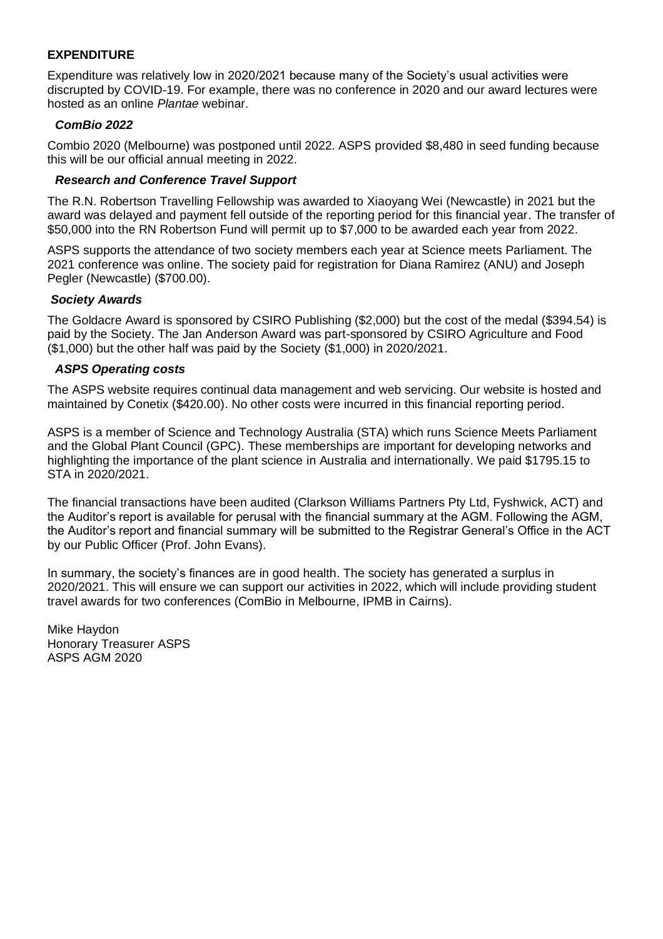## **EXPENDITURE**

Expenditure was relatively low in 2020/2021 because many of the Society's usual activities were discrupted by COVID-19. For example, there was no conference in 2020 and our award lectures were hosted as an online *Plantae* webinar.

## *ComBio 2022*

Combio 2020 (Melbourne) was postponed until 2022. ASPS provided \$8,480 in seed funding because this will be our official annual meeting in 2022.

### *Research and Conference Travel Support*

The R.N. Robertson Travelling Fellowship was awarded to Xiaoyang Wei (Newcastle) in 2021 but the award was delayed and payment fell outside of the reporting period for this financial year. The transfer of \$50,000 into the RN Robertson Fund will permit up to \$7,000 to be awarded each year from 2022.

ASPS supports the attendance of two society members each year at Science meets Parliament. The 2021 conference was online. The society paid for registration for Diana Ramirez (ANU) and Joseph Pegler (Newcastle) (\$700.00).

### *Society Awards*

The Goldacre Award is sponsored by CSIRO Publishing (\$2,000) but the cost of the medal (\$394.54) is paid by the Society. The Jan Anderson Award was part-sponsored by CSIRO Agriculture and Food (\$1,000) but the other half was paid by the Society (\$1,000) in 2020/2021.

### *ASPS Operating costs*

The ASPS website requires continual data management and web servicing. Our website is hosted and maintained by Conetix (\$420.00). No other costs were incurred in this financial reporting period.

ASPS is a member of Science and Technology Australia (STA) which runs Science Meets Parliament and the Global Plant Council (GPC). These memberships are important for developing networks and highlighting the importance of the plant science in Australia and internationally. We paid \$1795.15 to STA in 2020/2021.

The financial transactions have been audited (Clarkson Williams Partners Pty Ltd, Fyshwick, ACT) and the Auditor's report is available for perusal with the financial summary at the AGM. Following the AGM, the Auditor's report and financial summary will be submitted to the Registrar General's Office in the ACT by our Public Officer (Prof. John Evans).

In summary, the society's finances are in good health. The society has generated a surplus in 2020/2021. This will ensure we can support our activities in 2022, which will include providing student travel awards for two conferences (ComBio in Melbourne, IPMB in Cairns).

Mike Haydon Honorary Treasurer ASPS ASPS AGM 2020